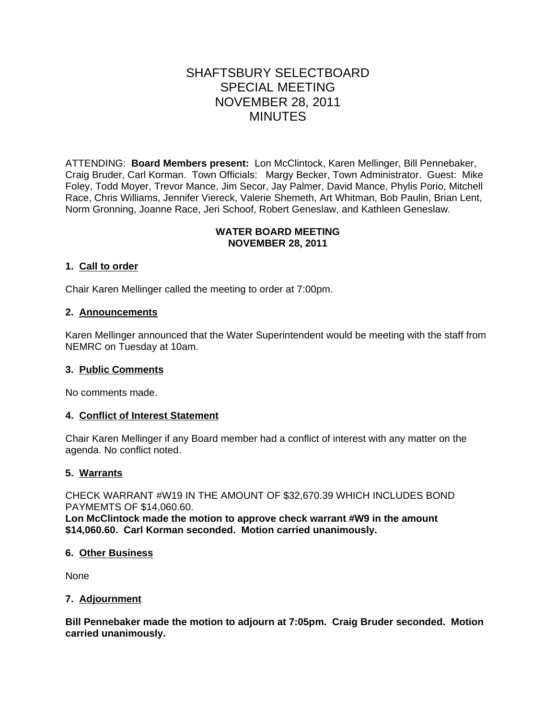# SHAFTSBURY SELECTBOARD SPECIAL MEETING NOVEMBER 28, 2011 MINUTES

ATTENDING: **Board Members present:** Lon McClintock, Karen Mellinger, Bill Pennebaker, Craig Bruder, Carl Korman. Town Officials: Margy Becker, Town Administrator. Guest: Mike Foley, Todd Moyer, Trevor Mance, Jim Secor, Jay Palmer, David Mance, Phylis Porio, Mitchell Race, Chris Williams, Jennifer Viereck, Valerie Shemeth, Art Whitman, Bob Paulin, Brian Lent, Norm Gronning, Joanne Race, Jeri Schoof, Robert Geneslaw, and Kathleen Geneslaw.

# **WATER BOARD MEETING NOVEMBER 28, 2011**

# **1. Call to order**

Chair Karen Mellinger called the meeting to order at 7:00pm.

# **2. Announcements**

Karen Mellinger announced that the Water Superintendent would be meeting with the staff from NEMRC on Tuesday at 10am.

### **3. Public Comments**

No comments made.

### **4. Conflict of Interest Statement**

Chair Karen Mellinger if any Board member had a conflict of interest with any matter on the agenda. No conflict noted.

### **5. Warrants**

CHECK WARRANT #W19 IN THE AMOUNT OF \$32,670.39 WHICH INCLUDES BOND PAYMEMTS OF \$14,060.60.

**Lon McClintock made the motion to approve check warrant #W9 in the amount \$14,060.60. Carl Korman seconded. Motion carried unanimously.**

### **6. Other Business**

None

### **7. Adjournment**

**Bill Pennebaker made the motion to adjourn at 7:05pm. Craig Bruder seconded. Motion carried unanimously.**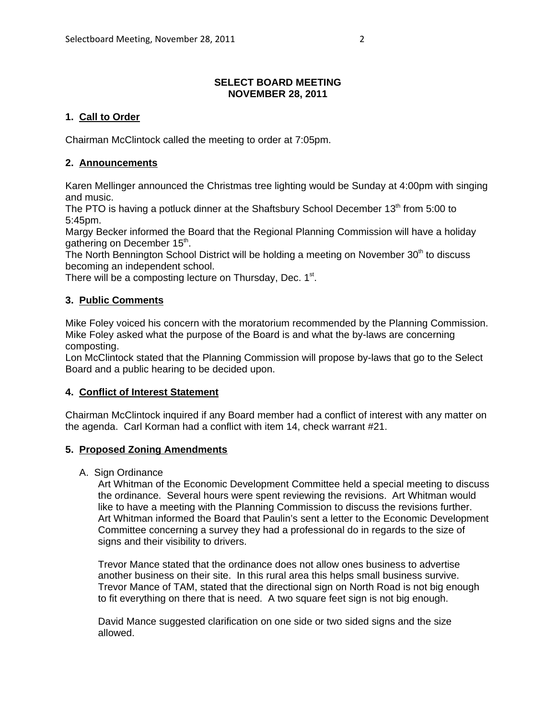# **SELECT BOARD MEETING NOVEMBER 28, 2011**

# **1. Call to Order**

Chairman McClintock called the meeting to order at 7:05pm.

# **2. Announcements**

Karen Mellinger announced the Christmas tree lighting would be Sunday at 4:00pm with singing and music.

The PTO is having a potluck dinner at the Shaftsbury School December  $13<sup>th</sup>$  from 5:00 to 5:45pm.

Margy Becker informed the Board that the Regional Planning Commission will have a holiday gathering on December 15<sup>th</sup>.

The North Bennington School District will be holding a meeting on November 30<sup>th</sup> to discuss becoming an independent school.

There will be a composting lecture on Thursday, Dec.  $1<sup>st</sup>$ .

# **3. Public Comments**

Mike Foley voiced his concern with the moratorium recommended by the Planning Commission. Mike Foley asked what the purpose of the Board is and what the by-laws are concerning composting.

Lon McClintock stated that the Planning Commission will propose by-laws that go to the Select Board and a public hearing to be decided upon.

# **4. Conflict of Interest Statement**

Chairman McClintock inquired if any Board member had a conflict of interest with any matter on the agenda. Carl Korman had a conflict with item 14, check warrant #21.

# **5. Proposed Zoning Amendments**

A. Sign Ordinance

Art Whitman of the Economic Development Committee held a special meeting to discuss the ordinance. Several hours were spent reviewing the revisions. Art Whitman would like to have a meeting with the Planning Commission to discuss the revisions further. Art Whitman informed the Board that Paulin's sent a letter to the Economic Development Committee concerning a survey they had a professional do in regards to the size of signs and their visibility to drivers.

Trevor Mance stated that the ordinance does not allow ones business to advertise another business on their site. In this rural area this helps small business survive. Trevor Mance of TAM, stated that the directional sign on North Road is not big enough to fit everything on there that is need. A two square feet sign is not big enough.

David Mance suggested clarification on one side or two sided signs and the size allowed.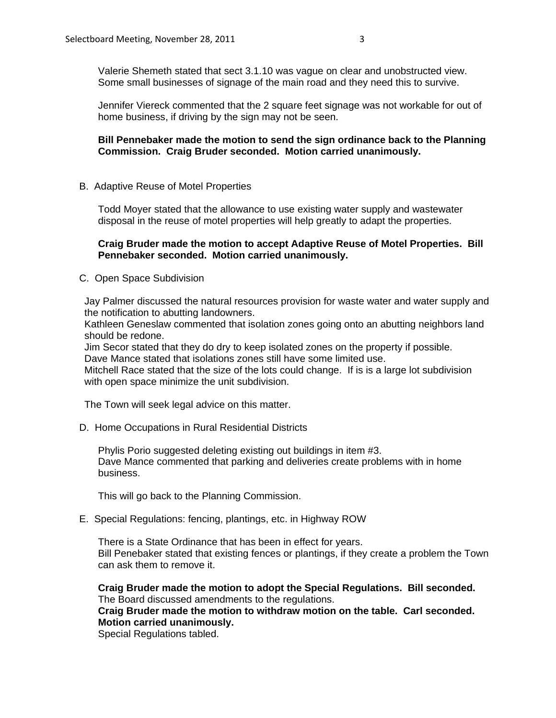Valerie Shemeth stated that sect 3.1.10 was vague on clear and unobstructed view. Some small businesses of signage of the main road and they need this to survive.

Jennifer Viereck commented that the 2 square feet signage was not workable for out of home business, if driving by the sign may not be seen.

# **Bill Pennebaker made the motion to send the sign ordinance back to the Planning Commission. Craig Bruder seconded. Motion carried unanimously.**

B. Adaptive Reuse of Motel Properties

Todd Moyer stated that the allowance to use existing water supply and wastewater disposal in the reuse of motel properties will help greatly to adapt the properties.

### **Craig Bruder made the motion to accept Adaptive Reuse of Motel Properties. Bill Pennebaker seconded. Motion carried unanimously.**

C. Open Space Subdivision

Jay Palmer discussed the natural resources provision for waste water and water supply and the notification to abutting landowners.

Kathleen Geneslaw commented that isolation zones going onto an abutting neighbors land should be redone.

Jim Secor stated that they do dry to keep isolated zones on the property if possible. Dave Mance stated that isolations zones still have some limited use.

Mitchell Race stated that the size of the lots could change. If is is a large lot subdivision with open space minimize the unit subdivision.

The Town will seek legal advice on this matter.

D. Home Occupations in Rural Residential Districts

Phylis Porio suggested deleting existing out buildings in item #3. Dave Mance commented that parking and deliveries create problems with in home business.

This will go back to the Planning Commission.

E. Special Regulations: fencing, plantings, etc. in Highway ROW

There is a State Ordinance that has been in effect for years. Bill Penebaker stated that existing fences or plantings, if they create a problem the Town can ask them to remove it.

**Craig Bruder made the motion to adopt the Special Regulations. Bill seconded.**  The Board discussed amendments to the regulations.

**Craig Bruder made the motion to withdraw motion on the table. Carl seconded. Motion carried unanimously.**

Special Regulations tabled.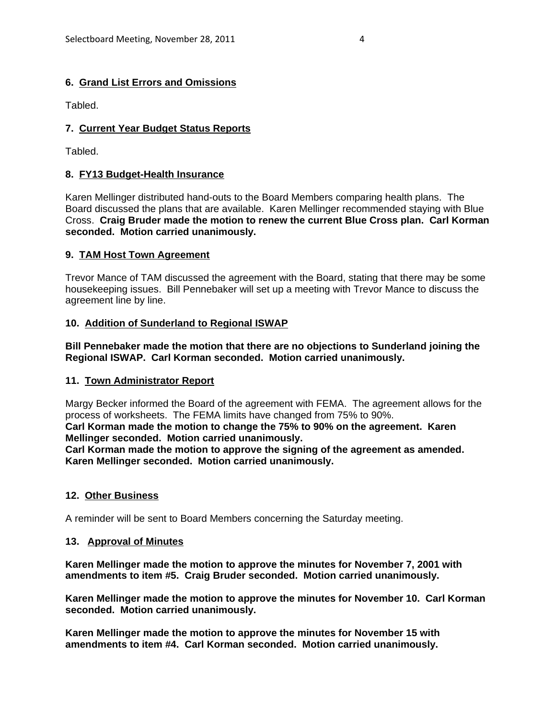# **6. Grand List Errors and Omissions**

Tabled.

# **7. Current Year Budget Status Reports**

Tabled.

# **8. FY13 Budget-Health Insurance**

Karen Mellinger distributed hand-outs to the Board Members comparing health plans. The Board discussed the plans that are available. Karen Mellinger recommended staying with Blue Cross. **Craig Bruder made the motion to renew the current Blue Cross plan. Carl Korman seconded. Motion carried unanimously.**

### **9. TAM Host Town Agreement**

Trevor Mance of TAM discussed the agreement with the Board, stating that there may be some housekeeping issues. Bill Pennebaker will set up a meeting with Trevor Mance to discuss the agreement line by line.

# **10. Addition of Sunderland to Regional ISWAP**

**Bill Pennebaker made the motion that there are no objections to Sunderland joining the Regional ISWAP. Carl Korman seconded. Motion carried unanimously.**

### **11. Town Administrator Report**

Margy Becker informed the Board of the agreement with FEMA. The agreement allows for the process of worksheets. The FEMA limits have changed from 75% to 90%. **Carl Korman made the motion to change the 75% to 90% on the agreement. Karen**

**Mellinger seconded. Motion carried unanimously.**

**Carl Korman made the motion to approve the signing of the agreement as amended. Karen Mellinger seconded. Motion carried unanimously.**

### **12. Other Business**

A reminder will be sent to Board Members concerning the Saturday meeting.

### **13. Approval of Minutes**

**Karen Mellinger made the motion to approve the minutes for November 7, 2001 with amendments to item #5. Craig Bruder seconded. Motion carried unanimously.**

**Karen Mellinger made the motion to approve the minutes for November 10. Carl Korman seconded. Motion carried unanimously.**

**Karen Mellinger made the motion to approve the minutes for November 15 with amendments to item #4. Carl Korman seconded. Motion carried unanimously.**